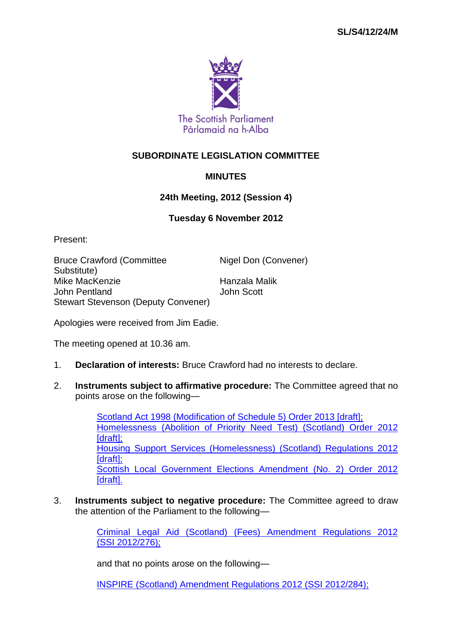

## **SUBORDINATE LEGISLATION COMMITTEE**

## **MINUTES**

## **24th Meeting, 2012 (Session 4)**

## **Tuesday 6 November 2012**

Present:

Bruce Crawford (Committee Substitute) Nigel Don (Convener) Mike MacKenzie Hanzala Malik John Pentland John Scott Stewart Stevenson (Deputy Convener)

Apologies were received from Jim Eadie.

The meeting opened at 10.36 am.

- 1. **Declaration of interests:** Bruce Crawford had no interests to declare.
- 2. **Instruments subject to affirmative procedure:** The Committee agreed that no points arose on the following—

[Scotland Act 1998 \(Modification of Schedule 5\) Order 2013 \[draft\];](http://www.legislation.gov.uk/ukdsi/2013/9780111529881/contents) [Homelessness \(Abolition of Priority Need Test\) \(Scotland\) Order 2012](http://www.legislation.gov.uk/sdsi/2012/9780111018187/contents)  [\[draft\];](http://www.legislation.gov.uk/sdsi/2012/9780111018187/contents) [Housing Support Services \(Homelessness\) \(Scotland\) Regulations 2012](http://www.legislation.gov.uk/sdsi/2012/9780111018170/contents)  [draft]: [Scottish Local Government Elections Amendment \(No. 2\) Order 2012](http://www.legislation.gov.uk/sdsi/2012/9780111018248/contents)  [\[draft\].](http://www.legislation.gov.uk/sdsi/2012/9780111018248/contents)

3. **Instruments subject to negative procedure:** The Committee agreed to draw the attention of the Parliament to the following—

> [Criminal Legal Aid \(Scotland\) \(Fees\) Amendment Regulations 2012](http://www.legislation.gov.uk/ssi/2012/276/contents/made)  (SSI [2012/276\);](http://www.legislation.gov.uk/ssi/2012/276/contents/made)

and that no points arose on the following—

[INSPIRE \(Scotland\) Amendment Regulations 2012 \(SSI](http://www.legislation.gov.uk/ssi/2012/284/contents/made) 2012/284);